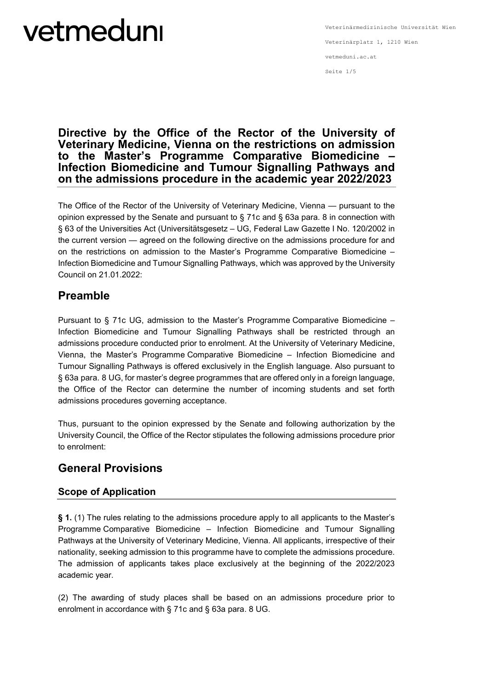## **Directive by the Office of the Rector of the University of Veterinary Medicine, Vienna on the restrictions on admission to the Master's Programme Comparative Biomedicine – Infection Biomedicine and Tumour Signalling Pathways and on the admissions procedure in the academic year 2022/2023**

The Office of the Rector of the University of Veterinary Medicine, Vienna — pursuant to the opinion expressed by the Senate and pursuant to § 71c and § 63a para. 8 in connection with § 63 of the Universities Act (Universitätsgesetz – UG, Federal Law Gazette I No. 120/2002 in the current version — agreed on the following directive on the admissions procedure for and on the restrictions on admission to the Master's Programme Comparative Biomedicine – Infection Biomedicine and Tumour Signalling Pathways, which was approved by the University Council on 21.01.2022:

## **Preamble**

Pursuant to § 71c UG, admission to the Master's Programme Comparative Biomedicine – Infection Biomedicine and Tumour Signalling Pathways shall be restricted through an admissions procedure conducted prior to enrolment. At the University of Veterinary Medicine, Vienna, the Master's Programme Comparative Biomedicine – Infection Biomedicine and Tumour Signalling Pathways is offered exclusively in the English language. Also pursuant to § 63a para. 8 UG, for master's degree programmes that are offered only in a foreign language, the Office of the Rector can determine the number of incoming students and set forth admissions procedures governing acceptance.

Thus, pursuant to the opinion expressed by the Senate and following authorization by the University Council, the Office of the Rector stipulates the following admissions procedure prior to enrolment:

## **General Provisions**

### **Scope of Application**

**§ 1.** (1) The rules relating to the admissions procedure apply to all applicants to the Master's Programme Comparative Biomedicine – Infection Biomedicine and Tumour Signalling Pathways at the University of Veterinary Medicine, Vienna. All applicants, irrespective of their nationality, seeking admission to this programme have to complete the admissions procedure. The admission of applicants takes place exclusively at the beginning of the 2022/2023 academic year.

(2) The awarding of study places shall be based on an admissions procedure prior to enrolment in accordance with § 71c and § 63a para. 8 UG.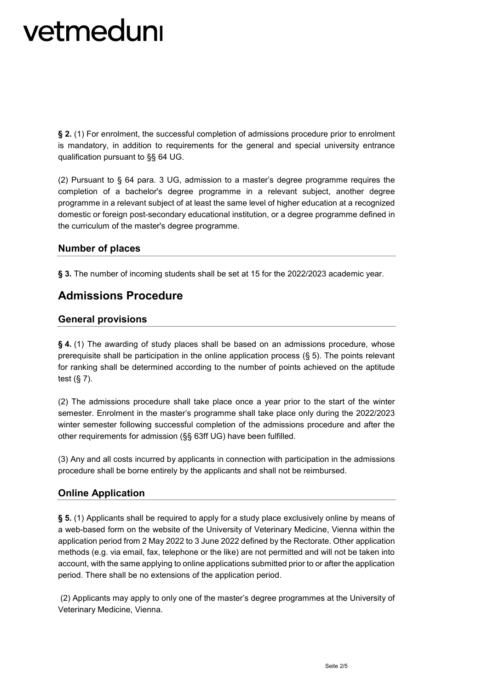**§ 2.** (1) For enrolment, the successful completion of admissions procedure prior to enrolment is mandatory, in addition to requirements for the general and special university entrance qualification pursuant to §§ 64 UG.

(2) Pursuant to § 64 para. 3 UG, admission to a master's degree programme requires the completion of a bachelor's degree programme in a relevant subject, another degree programme in a relevant subject of at least the same level of higher education at a recognized domestic or foreign post-secondary educational institution, or a degree programme defined in the curriculum of the master's degree programme.

### **Number of places**

§ 3. The number of incoming students shall be set at 15 for the 2022/2023 academic year.

## **Admissions Procedure**

### **General provisions**

**§ 4.** (1) The awarding of study places shall be based on an admissions procedure, whose prerequisite shall be participation in the online application process (§ 5). The points relevant for ranking shall be determined according to the number of points achieved on the aptitude test (§ 7).

(2) The admissions procedure shall take place once a year prior to the start of the winter semester. Enrolment in the master's programme shall take place only during the 2022/2023 winter semester following successful completion of the admissions procedure and after the other requirements for admission (§§ 63ff UG) have been fulfilled.

(3) Any and all costs incurred by applicants in connection with participation in the admissions procedure shall be borne entirely by the applicants and shall not be reimbursed.

### **Online Application**

**§ 5.** (1) Applicants shall be required to apply for a study place exclusively online by means of a web-based form on the website of the University of Veterinary Medicine, Vienna within the application period from 2 May 2022 to 3 June 2022 defined by the Rectorate. Other application methods (e.g. via email, fax, telephone or the like) are not permitted and will not be taken into account, with the same applying to online applications submitted prior to or after the application period. There shall be no extensions of the application period.

(2) Applicants may apply to only one of the master's degree programmes at the University of Veterinary Medicine, Vienna.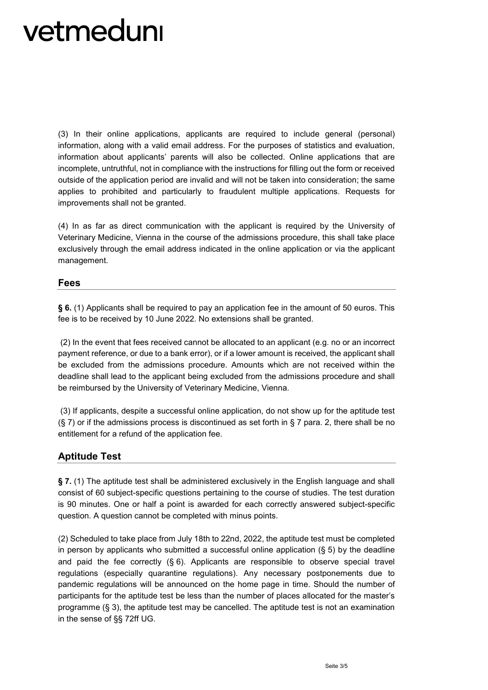(3) In their online applications, applicants are required to include general (personal) information, along with a valid email address. For the purposes of statistics and evaluation, information about applicants' parents will also be collected. Online applications that are incomplete, untruthful, not in compliance with the instructions for filling out the form or received outside of the application period are invalid and will not be taken into consideration; the same applies to prohibited and particularly to fraudulent multiple applications. Requests for improvements shall not be granted.

(4) In as far as direct communication with the applicant is required by the University of Veterinary Medicine, Vienna in the course of the admissions procedure, this shall take place exclusively through the email address indicated in the online application or via the applicant management.

#### **Fees**

**§ 6.** (1) Applicants shall be required to pay an application fee in the amount of 50 euros. This fee is to be received by 10 June 2022. No extensions shall be granted.

(2) In the event that fees received cannot be allocated to an applicant (e.g. no or an incorrect payment reference, or due to a bank error), or if a lower amount is received, the applicant shall be excluded from the admissions procedure. Amounts which are not received within the deadline shall lead to the applicant being excluded from the admissions procedure and shall be reimbursed by the University of Veterinary Medicine, Vienna.

(3) If applicants, despite a successful online application, do not show up for the aptitude test  $(S, 7)$  or if the admissions process is discontinued as set forth in  $S, 7$  para. 2, there shall be no entitlement for a refund of the application fee.

### **Aptitude Test**

**§ 7.** (1) The aptitude test shall be administered exclusively in the English language and shall consist of 60 subject-specific questions pertaining to the course of studies. The test duration is 90 minutes. One or half a point is awarded for each correctly answered subject-specific question. A question cannot be completed with minus points.

(2) Scheduled to take place from July 18th to 22nd, 2022, the aptitude test must be completed in person by applicants who submitted a successful online application  $(\S 5)$  by the deadline and paid the fee correctly  $(§ 6)$ . Applicants are responsible to observe special travel regulations (especially quarantine regulations). Any necessary postponements due to pandemic regulations will be announced on the home page in time. Should the number of participants for the aptitude test be less than the number of places allocated for the master's programme (§ 3), the aptitude test may be cancelled. The aptitude test is not an examination in the sense of §§ 72ff UG.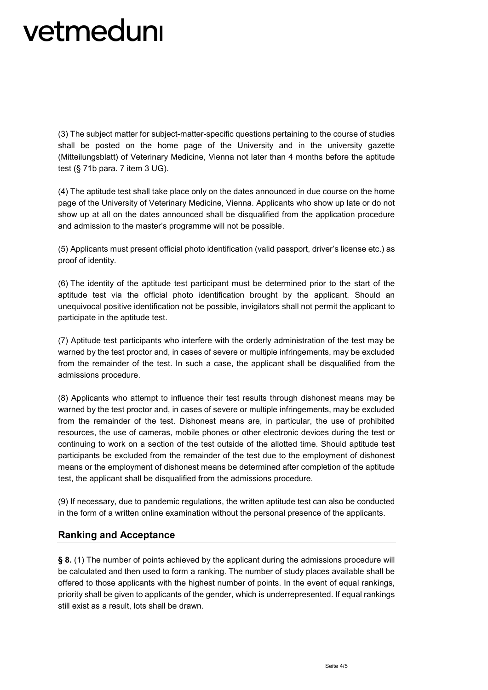(3) The subject matter for subject-matter-specific questions pertaining to the course of studies shall be posted on the home page of the University and in the university gazette (Mitteilungsblatt) of Veterinary Medicine, Vienna not later than 4 months before the aptitude test (§ 71b para. 7 item 3 UG).

(4) The aptitude test shall take place only on the dates announced in due course on the home page of the University of Veterinary Medicine, Vienna. Applicants who show up late or do not show up at all on the dates announced shall be disqualified from the application procedure and admission to the master's programme will not be possible.

(5) Applicants must present official photo identification (valid passport, driver's license etc.) as proof of identity.

(6) The identity of the aptitude test participant must be determined prior to the start of the aptitude test via the official photo identification brought by the applicant. Should an unequivocal positive identification not be possible, invigilators shall not permit the applicant to participate in the aptitude test.

(7) Aptitude test participants who interfere with the orderly administration of the test may be warned by the test proctor and, in cases of severe or multiple infringements, may be excluded from the remainder of the test. In such a case, the applicant shall be disqualified from the admissions procedure.

(8) Applicants who attempt to influence their test results through dishonest means may be warned by the test proctor and, in cases of severe or multiple infringements, may be excluded from the remainder of the test. Dishonest means are, in particular, the use of prohibited resources, the use of cameras, mobile phones or other electronic devices during the test or continuing to work on a section of the test outside of the allotted time. Should aptitude test participants be excluded from the remainder of the test due to the employment of dishonest means or the employment of dishonest means be determined after completion of the aptitude test, the applicant shall be disqualified from the admissions procedure.

(9) If necessary, due to pandemic regulations, the written aptitude test can also be conducted in the form of a written online examination without the personal presence of the applicants.

### **Ranking and Acceptance**

**§ 8.** (1) The number of points achieved by the applicant during the admissions procedure will be calculated and then used to form a ranking. The number of study places available shall be offered to those applicants with the highest number of points. In the event of equal rankings, priority shall be given to applicants of the gender, which is underrepresented. If equal rankings still exist as a result, lots shall be drawn.